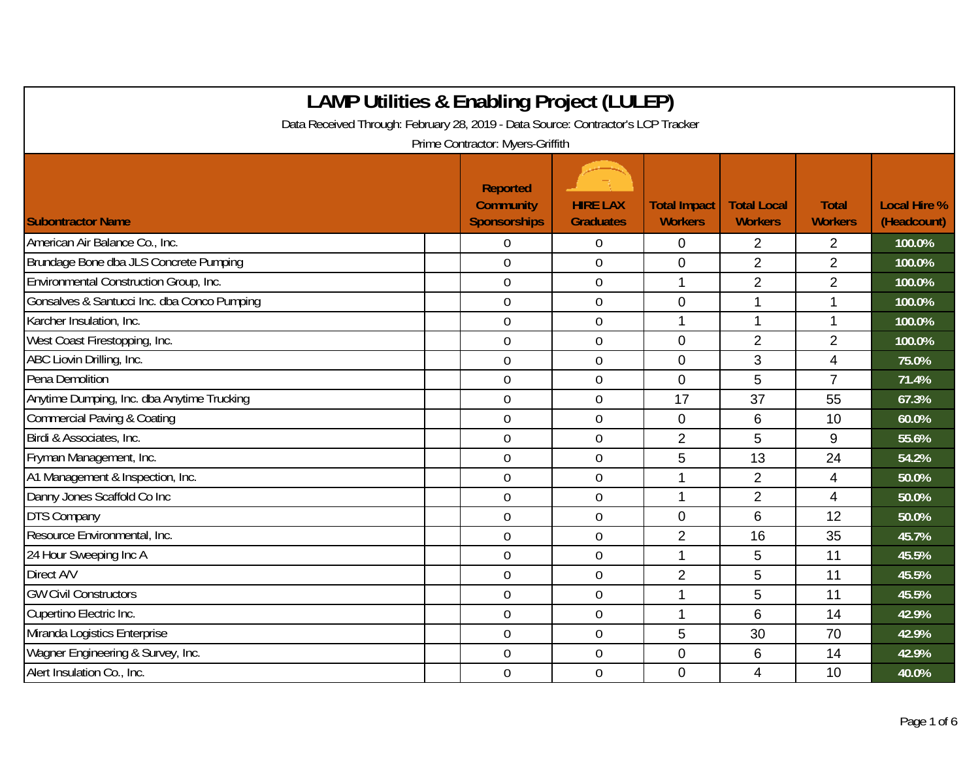| <b>LAMP Utilities &amp; Enabling Project (LULEP)</b>                             |                                                            |                                     |                                       |                                      |                                |                                    |
|----------------------------------------------------------------------------------|------------------------------------------------------------|-------------------------------------|---------------------------------------|--------------------------------------|--------------------------------|------------------------------------|
| Data Received Through: February 28, 2019 - Data Source: Contractor's LCP Tracker |                                                            |                                     |                                       |                                      |                                |                                    |
|                                                                                  | Prime Contractor: Myers-Griffith                           |                                     |                                       |                                      |                                |                                    |
| <b>Subontractor Name</b>                                                         | <b>Reported</b><br><b>Community</b><br><b>Sponsorships</b> | <b>HIRE LAX</b><br><b>Graduates</b> | <b>Total Impact</b><br><b>Workers</b> | <b>Total Local</b><br><b>Workers</b> | <b>Total</b><br><b>Workers</b> | <b>Local Hire %</b><br>(Headcount) |
| American Air Balance Co., Inc.                                                   | $\Omega$                                                   | 0                                   | 0                                     | $\overline{2}$                       | $\overline{2}$                 | 100.0%                             |
| Brundage Bone dba JLS Concrete Pumping                                           | $\mathbf 0$                                                | 0                                   | $\mathbf 0$                           | $\overline{2}$                       | $\overline{2}$                 | 100.0%                             |
| Environmental Construction Group, Inc.                                           | $\mathbf 0$                                                | 0                                   | 1                                     | $\overline{2}$                       | $\overline{2}$                 | 100.0%                             |
| Gonsalves & Santucci Inc. dba Conco Pumping                                      | $\mathbf 0$                                                | $\overline{0}$                      | $\overline{0}$                        |                                      | 1                              | 100.0%                             |
| Karcher Insulation, Inc.                                                         | $\overline{0}$                                             | $\overline{0}$                      | 1                                     | $\mathbf 1$                          | 1                              | 100.0%                             |
| West Coast Firestopping, Inc.                                                    | $\mathbf 0$                                                | $\boldsymbol{0}$                    | $\mathbf 0$                           | $\overline{2}$                       | $\overline{2}$                 | 100.0%                             |
| ABC Liovin Drilling, Inc.                                                        | $\mathbf 0$                                                | $\boldsymbol{0}$                    | $\mathbf 0$                           | 3                                    | 4                              | 75.0%                              |
| Pena Demolition                                                                  | $\overline{0}$                                             | 0                                   | $\overline{0}$                        | 5                                    | $\overline{7}$                 | 71.4%                              |
| Anytime Dumping, Inc. dba Anytime Trucking                                       | $\overline{0}$                                             | 0                                   | 17                                    | 37                                   | 55                             | 67.3%                              |
| <b>Commercial Paving &amp; Coating</b>                                           | $\overline{0}$                                             | 0                                   | 0                                     | 6                                    | 10                             | 60.0%                              |
| Birdi & Associates, Inc.                                                         | $\boldsymbol{0}$                                           | $\overline{0}$                      | $\overline{2}$                        | 5                                    | 9                              | 55.6%                              |
| Fryman Management, Inc.                                                          | $\mathbf 0$                                                | 0                                   | 5                                     | 13                                   | 24                             | 54.2%                              |
| A1 Management & Inspection, Inc.                                                 | $\mathbf 0$                                                | 0                                   | 1                                     | $\overline{2}$                       | 4                              | 50.0%                              |
| Danny Jones Scaffold Co Inc                                                      | $\overline{0}$                                             | 0                                   | 1                                     | $\overline{2}$                       | $\overline{4}$                 | 50.0%                              |
| <b>DTS Company</b>                                                               | $\overline{0}$                                             | $\boldsymbol{0}$                    | $\mathbf 0$                           | 6                                    | 12                             | 50.0%                              |
| Resource Environmental, Inc.                                                     | $\mathbf 0$                                                | 0                                   | $\overline{2}$                        | 16                                   | 35                             | 45.7%                              |
| 24 Hour Sweeping Inc A                                                           | $\overline{0}$                                             | 0                                   | 1                                     | 5                                    | 11                             | 45.5%                              |
| Direct A/V                                                                       | $\mathbf 0$                                                | 0                                   | $\overline{2}$                        | 5                                    | 11                             | 45.5%                              |
| <b>GW Civil Constructors</b>                                                     | $\overline{0}$                                             | 0                                   | 1                                     | 5                                    | 11                             | 45.5%                              |
| Cupertino Electric Inc.                                                          | $\mathbf 0$                                                | $\boldsymbol{0}$                    | 1                                     | 6                                    | 14                             | 42.9%                              |
| Miranda Logistics Enterprise                                                     | $\mathbf 0$                                                | $\mathbf 0$                         | 5                                     | 30                                   | 70                             | 42.9%                              |
| Wagner Engineering & Survey, Inc.                                                | $\overline{0}$                                             | $\mathbf 0$                         | $\overline{0}$                        | 6                                    | 14                             | 42.9%                              |
| Alert Insulation Co., Inc.                                                       | $\mathbf 0$                                                | 0                                   | $\mathbf 0$                           | 4                                    | 10                             | 40.0%                              |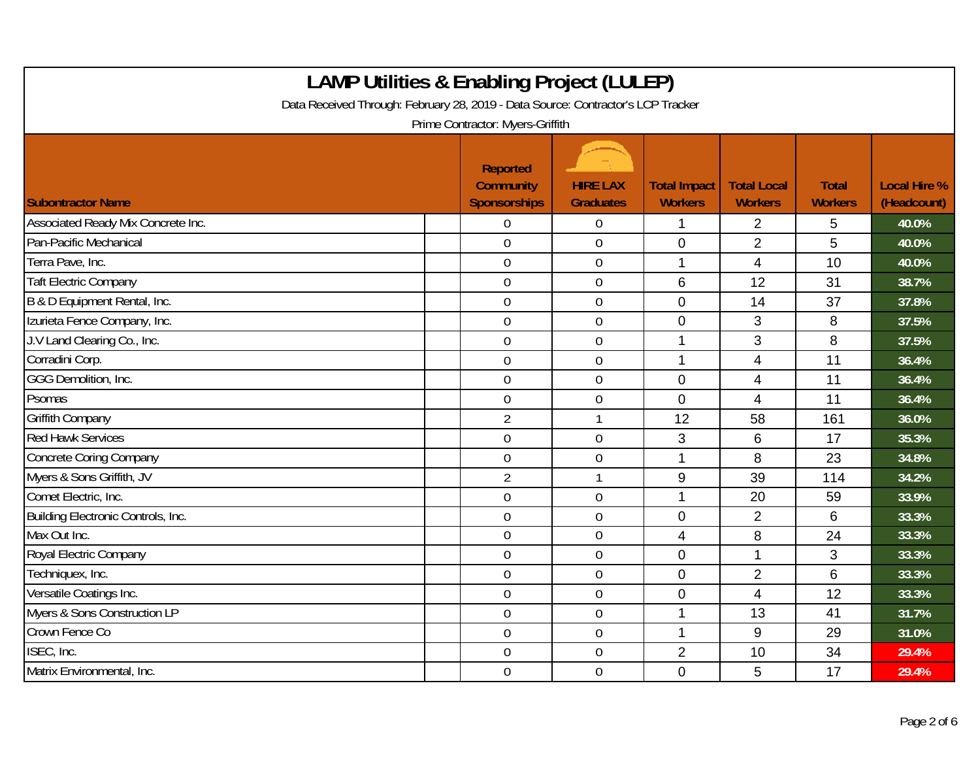| <b>LAMP Utilities &amp; Enabling Project (LULEP)</b><br>Data Received Through: February 28, 2019 - Data Source: Contractor's LCP Tracker<br>Prime Contractor: Myers-Griffith |                                                            |                                     |                                       |                                      |                                |                                    |  |  |  |
|------------------------------------------------------------------------------------------------------------------------------------------------------------------------------|------------------------------------------------------------|-------------------------------------|---------------------------------------|--------------------------------------|--------------------------------|------------------------------------|--|--|--|
| <b>Subontractor Name</b>                                                                                                                                                     | <b>Reported</b><br><b>Community</b><br><b>Sponsorships</b> | <b>HIRE LAX</b><br><b>Graduates</b> | <b>Total Impact</b><br><b>Workers</b> | <b>Total Local</b><br><b>Workers</b> | <b>Total</b><br><b>Workers</b> | <b>Local Hire %</b><br>(Headcount) |  |  |  |
| Associated Ready Mix Concrete Inc.                                                                                                                                           | $\Omega$                                                   | 0                                   | 1                                     | $\overline{2}$                       | 5                              | 40.0%                              |  |  |  |
| Pan-Pacific Mechanical                                                                                                                                                       | $\overline{0}$                                             | 0                                   | $\mathbf 0$                           | $\overline{2}$                       | 5                              | 40.0%                              |  |  |  |
| Terra Pave, Inc.                                                                                                                                                             | $\mathbf 0$                                                | $\overline{0}$                      | $\mathbf{1}$                          | $\overline{4}$                       | 10                             | 40.0%                              |  |  |  |
| <b>Taft Electric Company</b>                                                                                                                                                 | $\mathbf 0$                                                | $\boldsymbol{0}$                    | 6                                     | 12                                   | 31                             | 38.7%                              |  |  |  |
| B & D Equipment Rental, Inc.                                                                                                                                                 | $\mathbf 0$                                                | $\overline{0}$                      | $\Omega$                              | 14                                   | 37                             | 37.8%                              |  |  |  |
| Izurieta Fence Company, Inc.                                                                                                                                                 | $\overline{0}$                                             | 0                                   | $\mathbf 0$                           | 3                                    | 8                              | 37.5%                              |  |  |  |
| J.V Land Clearing Co., Inc.                                                                                                                                                  | $\mathbf 0$                                                | $\overline{0}$                      | 1                                     | 3                                    | 8                              | 37.5%                              |  |  |  |
| Corradini Corp.                                                                                                                                                              | $\overline{0}$                                             | 0                                   | 1                                     | $\overline{4}$                       | 11                             | 36.4%                              |  |  |  |
| GGG Demolition, Inc.                                                                                                                                                         | $\boldsymbol{0}$                                           | $\boldsymbol{0}$                    | $\mathbf 0$                           | $\overline{\mathbf{4}}$              | 11                             | 36.4%                              |  |  |  |
| Psomas                                                                                                                                                                       | $\mathbf 0$                                                | 0                                   | $\mathbf 0$                           | $\overline{4}$                       | 11                             | 36.4%                              |  |  |  |
| <b>Griffith Company</b>                                                                                                                                                      | $\overline{2}$                                             | $\mathbf{1}$                        | 12                                    | 58                                   | 161                            | 36.0%                              |  |  |  |
| <b>Red Hawk Services</b>                                                                                                                                                     | $\overline{0}$                                             | $\mathbf 0$                         | 3                                     | 6                                    | 17                             | 35.3%                              |  |  |  |
| <b>Concrete Coring Company</b>                                                                                                                                               | $\mathbf 0$                                                | $\overline{0}$                      | 1                                     | 8                                    | 23                             | 34.8%                              |  |  |  |
| Myers & Sons Griffith, JV                                                                                                                                                    | $\overline{2}$                                             | 1                                   | 9                                     | 39                                   | 114                            | 34.2%                              |  |  |  |
| Comet Electric, Inc.                                                                                                                                                         | $\mathbf 0$                                                | $\boldsymbol{0}$                    | 1                                     | 20                                   | 59                             | 33.9%                              |  |  |  |
| Building Electronic Controls, Inc.                                                                                                                                           | $\mathbf 0$                                                | $\overline{0}$                      | $\overline{0}$                        | $\overline{2}$                       | 6                              | 33.3%                              |  |  |  |
| Max Out Inc.                                                                                                                                                                 | $\mathbf 0$                                                | $\overline{0}$                      | $\overline{4}$                        | 8                                    | 24                             | 33.3%                              |  |  |  |
| Royal Electric Company                                                                                                                                                       | $\overline{0}$                                             | $\overline{0}$                      | $\overline{0}$                        | $\mathbf{1}$                         | 3                              | 33.3%                              |  |  |  |
| Techniquex, Inc.                                                                                                                                                             | $\mathbf 0$                                                | $\overline{0}$                      | $\mathbf 0$                           | $\overline{2}$                       | $6\phantom{1}$                 | 33.3%                              |  |  |  |
| Versatile Coatings Inc.                                                                                                                                                      | $\overline{0}$                                             | 0                                   | $\mathbf 0$                           | $\overline{4}$                       | 12                             | 33.3%                              |  |  |  |
| Myers & Sons Construction LP                                                                                                                                                 | $\mathbf 0$                                                | $\mathbf 0$                         | 1                                     | 13                                   | 41                             | 31.7%                              |  |  |  |
| Crown Fence Co                                                                                                                                                               | $\boldsymbol{0}$                                           | $\overline{0}$                      | $\mathbf{1}$                          | 9                                    | 29                             | 31.0%                              |  |  |  |
| ISEC, Inc.                                                                                                                                                                   | $\overline{0}$                                             | 0                                   | $\overline{2}$                        | 10                                   | 34                             | 29.4%                              |  |  |  |
| Matrix Environmental, Inc.                                                                                                                                                   | $\overline{0}$                                             | $\boldsymbol{0}$                    | $\mathbf 0$                           | 5                                    | 17                             | 29.4%                              |  |  |  |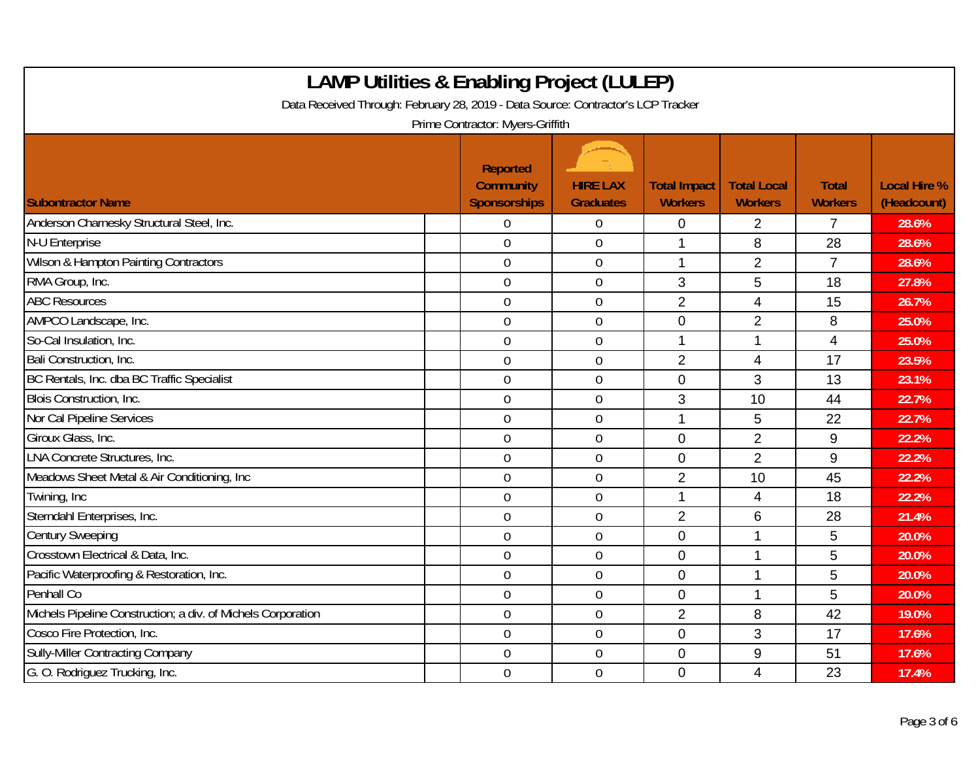| <b>LAMP Utilities &amp; Enabling Project (LULEP)</b><br>Data Received Through: February 28, 2019 - Data Source: Contractor's LCP Tracker<br>Prime Contractor: Myers-Griffith |                                                            |                                     |                                       |                                      |                                |                                    |  |  |  |
|------------------------------------------------------------------------------------------------------------------------------------------------------------------------------|------------------------------------------------------------|-------------------------------------|---------------------------------------|--------------------------------------|--------------------------------|------------------------------------|--|--|--|
| <b>Subontractor Name</b>                                                                                                                                                     | <b>Reported</b><br><b>Community</b><br><b>Sponsorships</b> | <b>HIRE LAX</b><br><b>Graduates</b> | <b>Total Impact</b><br><b>Workers</b> | <b>Total Local</b><br><b>Workers</b> | <b>Total</b><br><b>Workers</b> | <b>Local Hire %</b><br>(Headcount) |  |  |  |
| Anderson Charnesky Structural Steel, Inc.                                                                                                                                    | $\theta$                                                   | $\overline{0}$                      | $\overline{0}$                        | 2                                    | $\overline{7}$                 | 28.6%                              |  |  |  |
| N-U Enterprise                                                                                                                                                               | $\mathbf 0$                                                | $\mathbf 0$                         | 1                                     | 8                                    | 28                             | 28.6%                              |  |  |  |
| Wilson & Hampton Painting Contractors                                                                                                                                        | $\overline{0}$                                             | $\overline{0}$                      | $\mathbf{1}$                          | $\overline{2}$                       | $\overline{7}$                 | 28.6%                              |  |  |  |
| RMA Group, Inc.                                                                                                                                                              | $\boldsymbol{0}$                                           | $\mathbf 0$                         | 3                                     | 5                                    | 18                             | 27.8%                              |  |  |  |
| <b>ABC Resources</b>                                                                                                                                                         | $\mathbf 0$                                                | $\mathbf 0$                         | $\overline{2}$                        | 4                                    | 15                             | 26.7%                              |  |  |  |
| AMPCO Landscape, Inc.                                                                                                                                                        | $\mathbf 0$                                                | $\mathbf 0$                         | $\mathbf{0}$                          | 2                                    | 8                              | 25.0%                              |  |  |  |
| So-Cal Insulation, Inc.                                                                                                                                                      | $\mathbf 0$                                                | $\mathbf 0$                         | 1                                     | 1                                    | $\overline{4}$                 | 25.0%                              |  |  |  |
| Bali Construction, Inc.                                                                                                                                                      | $\boldsymbol{0}$                                           | $\overline{0}$                      | $\overline{2}$                        | 4                                    | 17                             | 23.5%                              |  |  |  |
| BC Rentals, Inc. dba BC Traffic Specialist                                                                                                                                   | $\mathbf 0$                                                | $\boldsymbol{0}$                    | $\mathbf{0}$                          | 3                                    | 13                             | 23.1%                              |  |  |  |
| Blois Construction, Inc.                                                                                                                                                     | $\boldsymbol{0}$                                           | $\mathbf 0$                         | 3                                     | 10                                   | 44                             | 22.7%                              |  |  |  |
| Nor Cal Pipeline Services                                                                                                                                                    | $\mathbf 0$                                                | $\overline{0}$                      | 1                                     | 5                                    | 22                             | 22.7%                              |  |  |  |
| Giroux Glass, Inc.                                                                                                                                                           | $\mathbf 0$                                                | $\mathbf 0$                         | $\mathbf 0$                           | $\overline{2}$                       | 9                              | 22.2%                              |  |  |  |
| <b>LNA</b> Concrete Structures, Inc.                                                                                                                                         | $\boldsymbol{0}$                                           | $\overline{0}$                      | $\mathbf 0$                           | $\overline{2}$                       | 9                              | 22.2%                              |  |  |  |
| Meadows Sheet Metal & Air Conditioning, Inc                                                                                                                                  | $\mathbf 0$                                                | $\mathbf 0$                         | $\overline{2}$                        | 10                                   | 45                             | 22.2%                              |  |  |  |
| Twining, Inc.                                                                                                                                                                | $\mathbf 0$                                                | $\boldsymbol{0}$                    | 1                                     | 4                                    | 18                             | 22.2%                              |  |  |  |
| Sterndahl Enterprises, Inc.                                                                                                                                                  | $\boldsymbol{0}$                                           | $\mathbf 0$                         | $\overline{2}$                        | 6                                    | 28                             | 21.4%                              |  |  |  |
| <b>Century Sweeping</b>                                                                                                                                                      | $\mathbf 0$                                                | $\overline{0}$                      | $\Omega$                              | 1                                    | 5                              | 20.0%                              |  |  |  |
| Crosstown Electrical & Data, Inc.                                                                                                                                            | $\mathbf 0$                                                | $\mathbf 0$                         | $\mathbf{0}$                          | 1                                    | 5                              | 20.0%                              |  |  |  |
| Pacific Waterproofing & Restoration, Inc.                                                                                                                                    | $\overline{0}$                                             | $\mathbf 0$                         | $\mathbf 0$                           | 1                                    | 5                              | 20.0%                              |  |  |  |
| Penhall Co                                                                                                                                                                   | $\mathbf 0$                                                | $\mathbf 0$                         | $\mathbf{0}$                          | 1                                    | 5                              | 20.0%                              |  |  |  |
| Michels Pipeline Construction; a div. of Michels Corporation                                                                                                                 | $\boldsymbol{0}$                                           | $\boldsymbol{0}$                    | $\overline{2}$                        | 8                                    | 42                             | 19.0%                              |  |  |  |
| Cosco Fire Protection, Inc.                                                                                                                                                  | $\mathbf 0$                                                | $\mathbf 0$                         | $\mathbf 0$                           | 3                                    | 17                             | 17.6%                              |  |  |  |
| <b>Sully-Miller Contracting Company</b>                                                                                                                                      | $\mathbf 0$                                                | $\mathbf 0$                         | $\overline{0}$                        | 9                                    | 51                             | 17.6%                              |  |  |  |
| G. O. Rodriquez Trucking, Inc.                                                                                                                                               | $\overline{0}$                                             | $\overline{0}$                      | $\Omega$                              | 4                                    | 23                             | 17.4%                              |  |  |  |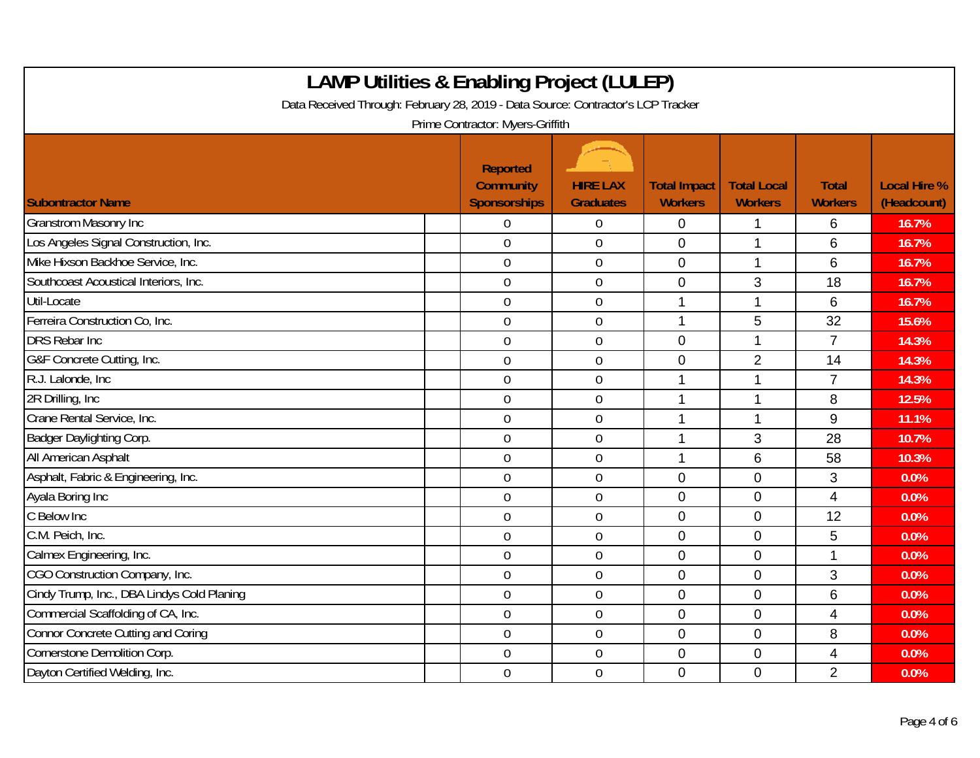| <b>LAMP Utilities &amp; Enabling Project (LULEP)</b><br>Data Received Through: February 28, 2019 - Data Source: Contractor's LCP Tracker<br>Prime Contractor: Myers-Griffith |                                                            |                                     |                                       |                                      |                                |                                    |  |  |  |
|------------------------------------------------------------------------------------------------------------------------------------------------------------------------------|------------------------------------------------------------|-------------------------------------|---------------------------------------|--------------------------------------|--------------------------------|------------------------------------|--|--|--|
| <b>Subontractor Name</b>                                                                                                                                                     | <b>Reported</b><br><b>Community</b><br><b>Sponsorships</b> | <b>HIRE LAX</b><br><b>Graduates</b> | <b>Total Impact</b><br><b>Workers</b> | <b>Total Local</b><br><b>Workers</b> | <b>Total</b><br><b>Workers</b> | <b>Local Hire %</b><br>(Headcount) |  |  |  |
| <b>Granstrom Masonry Inc</b>                                                                                                                                                 | $\Omega$                                                   | 0                                   | 0                                     |                                      | 6                              | 16.7%                              |  |  |  |
| Los Angeles Signal Construction, Inc.                                                                                                                                        | $\overline{0}$                                             | 0                                   | $\mathbf{0}$                          | 1                                    | 6                              | 16.7%                              |  |  |  |
| Mike Hixson Backhoe Service, Inc.                                                                                                                                            | $\mathbf 0$                                                | $\overline{0}$                      | $\overline{0}$                        | 1                                    | 6                              | 16.7%                              |  |  |  |
| Southcoast Acoustical Interiors, Inc.                                                                                                                                        | $\mathbf 0$                                                | $\mathbf 0$                         | $\mathbf 0$                           | 3                                    | 18                             | 16.7%                              |  |  |  |
| Util-Locate                                                                                                                                                                  | $\overline{0}$                                             | 0                                   | 1                                     | 1                                    | 6                              | 16.7%                              |  |  |  |
| Ferreira Construction Co, Inc.                                                                                                                                               | $\mathbf 0$                                                | 0                                   | 1                                     | 5                                    | 32                             | 15.6%                              |  |  |  |
| <b>DRS Rebar Inc</b>                                                                                                                                                         | $\mathbf 0$                                                | $\mathbf 0$                         | $\mathbf{0}$                          | 1                                    | $\overline{7}$                 | 14.3%                              |  |  |  |
| G&F Concrete Cutting, Inc.                                                                                                                                                   | $\overline{0}$                                             | $\overline{0}$                      | $\mathbf 0$                           | $\overline{2}$                       | 14                             | 14.3%                              |  |  |  |
| R.J. Lalonde, Inc.                                                                                                                                                           | $\mathbf 0$                                                | $\mathbf 0$                         | 1                                     | 1                                    | $\overline{7}$                 | 14.3%                              |  |  |  |
| 2R Drilling, Inc.                                                                                                                                                            | $\boldsymbol{0}$                                           | $\mathbf 0$                         | 1                                     | 1                                    | 8                              | 12.5%                              |  |  |  |
| Crane Rental Service, Inc.                                                                                                                                                   | $\overline{0}$                                             | $\overline{0}$                      | 1                                     | 1                                    | 9                              | 11.1%                              |  |  |  |
| Badger Daylighting Corp.                                                                                                                                                     | $\mathbf 0$                                                | $\overline{0}$                      | 1                                     | 3                                    | 28                             | 10.7%                              |  |  |  |
| All American Asphalt                                                                                                                                                         | $\overline{0}$                                             | $\overline{0}$                      | 1                                     | 6                                    | 58                             | 10.3%                              |  |  |  |
| Asphalt, Fabric & Engineering, Inc.                                                                                                                                          | $\overline{0}$                                             | 0                                   | $\mathbf 0$                           | $\overline{0}$                       | 3                              | 0.0%                               |  |  |  |
| Ayala Boring Inc                                                                                                                                                             | $\mathbf 0$                                                | $\boldsymbol{0}$                    | $\mathbf 0$                           | $\overline{0}$                       | $\overline{4}$                 | 0.0%                               |  |  |  |
| C Below Inc                                                                                                                                                                  | $\mathbf 0$                                                | $\mathbf 0$                         | $\overline{0}$                        | $\overline{0}$                       | 12                             | 0.0%                               |  |  |  |
| C.M. Peich, Inc.                                                                                                                                                             | $\overline{0}$                                             | $\overline{0}$                      | $\mathbf 0$                           | $\overline{0}$                       | 5                              | 0.0%                               |  |  |  |
| Calmex Engineering, Inc.                                                                                                                                                     | $\mathbf 0$                                                | 0                                   | $\mathbf{0}$                          | $\overline{0}$                       | 1                              | 0.0%                               |  |  |  |
| CGO Construction Company, Inc.                                                                                                                                               | $\mathbf 0$                                                | $\overline{0}$                      | $\overline{0}$                        | $\overline{0}$                       | 3                              | 0.0%                               |  |  |  |
| Cindy Trump, Inc., DBA Lindys Cold Planing                                                                                                                                   | $\overline{0}$                                             | 0                                   | $\mathbf 0$                           | $\Omega$                             | $6\phantom{1}$                 | 0.0%                               |  |  |  |
| Commercial Scaffolding of CA, Inc.                                                                                                                                           | $\overline{0}$                                             | $\boldsymbol{0}$                    | $\mathbf 0$                           | $\mathbf 0$                          | $\overline{4}$                 | 0.0%                               |  |  |  |
| <b>Connor Concrete Cutting and Coring</b>                                                                                                                                    | $\mathbf 0$                                                | 0                                   | $\mathbf 0$                           | $\overline{0}$                       | 8                              | 0.0%                               |  |  |  |
| Cornerstone Demolition Corp.                                                                                                                                                 | $\overline{0}$                                             | $\mathbf 0$                         | $\mathbf 0$                           | $\overline{0}$                       | 4                              | 0.0%                               |  |  |  |
| Dayton Certified Welding, Inc.                                                                                                                                               | $\overline{0}$                                             | 0                                   | $\Omega$                              | $\Omega$                             | $\overline{2}$                 | 0.0%                               |  |  |  |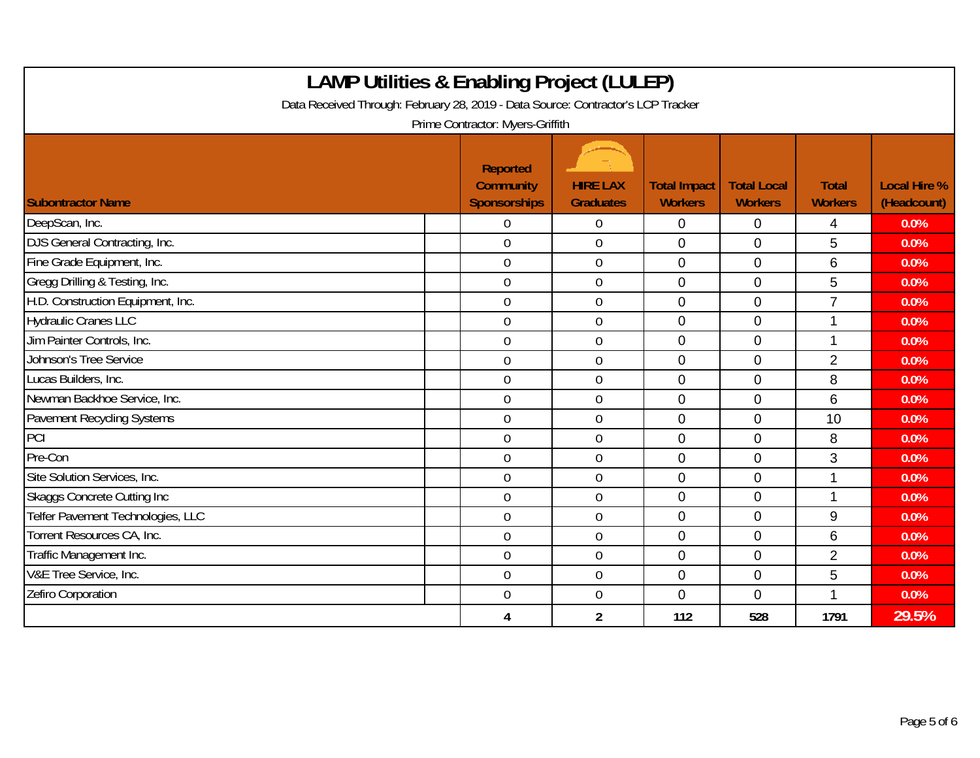| Data Received Through: February 28, 2019 - Data Source: Contractor's LCP Tracker | <b>LAMP Utilities &amp; Enabling Project (LULEP)</b><br>Prime Contractor: Myers-Griffith |                                     |                                       |                                      |                                |                                    |
|----------------------------------------------------------------------------------|------------------------------------------------------------------------------------------|-------------------------------------|---------------------------------------|--------------------------------------|--------------------------------|------------------------------------|
| <b>Subontractor Name</b>                                                         | <b>Reported</b><br><b>Community</b><br><b>Sponsorships</b>                               | <b>HIRE LAX</b><br><b>Graduates</b> | <b>Total Impact</b><br><b>Workers</b> | <b>Total Local</b><br><b>Workers</b> | <b>Total</b><br><b>Workers</b> | <b>Local Hire %</b><br>(Headcount) |
| DeepScan, Inc.                                                                   | $\Omega$                                                                                 | $\Omega$                            | $\Omega$                              | $\Omega$                             | 4                              | 0.0%                               |
| DJS General Contracting, Inc.                                                    | $\mathbf{0}$                                                                             | $\overline{0}$                      | $\Omega$                              | $\Omega$                             | 5                              | 0.0%                               |
| Fine Grade Equipment, Inc.                                                       | $\boldsymbol{0}$                                                                         | $\mathbf 0$                         | $\overline{0}$                        | $\mathbf 0$                          | 6                              | 0.0%                               |
| Gregg Drilling & Testing, Inc.                                                   | $\mathbf 0$                                                                              | $\mathbf 0$                         | $\overline{0}$                        | $\overline{0}$                       | 5                              | 0.0%                               |
| H.D. Construction Equipment, Inc.                                                | $\overline{0}$                                                                           | $\mathbf 0$                         | $\overline{0}$                        | $\overline{0}$                       | $\overline{7}$                 | 0.0%                               |
| <b>Hydraulic Cranes LLC</b>                                                      | $\mathbf 0$                                                                              | $\mathbf 0$                         | $\overline{0}$                        | $\overline{0}$                       | 1                              | 0.0%                               |
| Jim Painter Controls, Inc.                                                       | $\overline{0}$                                                                           | $\overline{0}$                      | $\Omega$                              | $\Omega$                             | 1                              | 0.0%                               |
| Johnson's Tree Service                                                           | $\mathbf 0$                                                                              | $\mathbf 0$                         | $\mathbf{0}$                          | 0                                    | $\overline{2}$                 | 0.0%                               |
| Lucas Builders, Inc.                                                             | $\mathbf 0$                                                                              | $\mathbf 0$                         | $\overline{0}$                        | $\overline{0}$                       | 8                              | 0.0%                               |
| Newman Backhoe Service, Inc.                                                     | $\boldsymbol{0}$                                                                         | $\mathbf 0$                         | $\mathbf 0$                           | $\mathbf 0$                          | 6                              | 0.0%                               |
| Pavement Recycling Systems                                                       | $\mathbf 0$                                                                              | $\mathbf 0$                         | $\overline{0}$                        | $\overline{0}$                       | 10                             | 0.0%                               |
| PCI                                                                              | $\mathbf 0$                                                                              | $\mathbf 0$                         | $\mathbf{0}$                          | 0                                    | 8                              | 0.0%                               |
| Pre-Con                                                                          | $\boldsymbol{0}$                                                                         | $\boldsymbol{0}$                    | $\mathbf 0$                           | $\overline{0}$                       | 3                              | 0.0%                               |
| Site Solution Services, Inc.                                                     | $\mathbf{0}$                                                                             | $\overline{0}$                      | $\Omega$                              | $\overline{0}$                       | 1                              | 0.0%                               |
| <b>Skaggs Concrete Cutting Inc.</b>                                              | $\overline{0}$                                                                           | $\overline{0}$                      | $\Omega$                              | $\overline{0}$                       | 1                              | 0.0%                               |
| Telfer Pavement Technologies, LLC                                                | $\mathbf 0$                                                                              | $\mathbf 0$                         | $\overline{0}$                        | $\overline{0}$                       | 9                              | 0.0%                               |
| Torrent Resources CA, Inc.                                                       | $\boldsymbol{0}$                                                                         | $\mathbf 0$                         | $\overline{0}$                        | $\mathbf 0$                          | 6                              | 0.0%                               |
| Traffic Management Inc.                                                          | $\mathbf 0$                                                                              | $\mathbf 0$                         | $\overline{0}$                        | $\mathbf 0$                          | $\overline{2}$                 | 0.0%                               |
| V&E Tree Service, Inc.                                                           | $\overline{0}$                                                                           | $\mathbf 0$                         | $\overline{0}$                        | $\overline{0}$                       | 5                              | 0.0%                               |
| Zefiro Corporation                                                               | $\mathbf 0$                                                                              | $\mathbf 0$                         | $\mathbf{0}$                          | $\mathbf 0$                          |                                | 0.0%                               |
|                                                                                  | 4                                                                                        | $\overline{2}$                      | 112                                   | 528                                  | 1791                           | 29.5%                              |